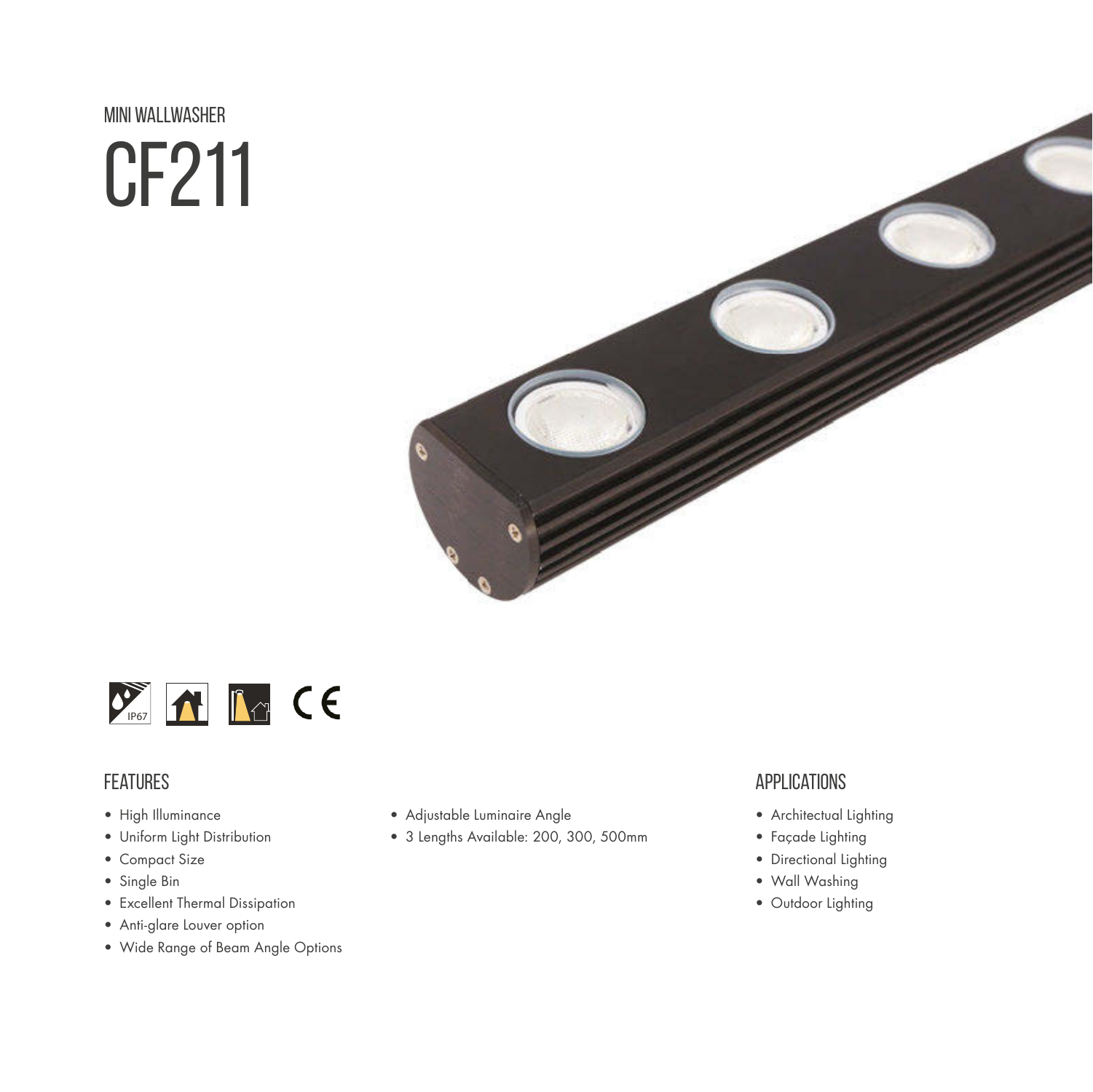# mini wallwasher CF211





#### **FEATURES**

- High Illuminance
- Uniform Light Distribution
- Compact Size
- Single Bin
- Excellent Thermal Dissipation
- Anti-glare Louver option
- Wide Range of Beam Angle Options
- Adjustable Luminaire Angle
- 3 Lengths Available: 200, 300, 500mm

#### **APPLICATIONS**

- Architectual Lighting
- Façade Lighting
- Directional Lighting
- Wall Washing
- Outdoor Lighting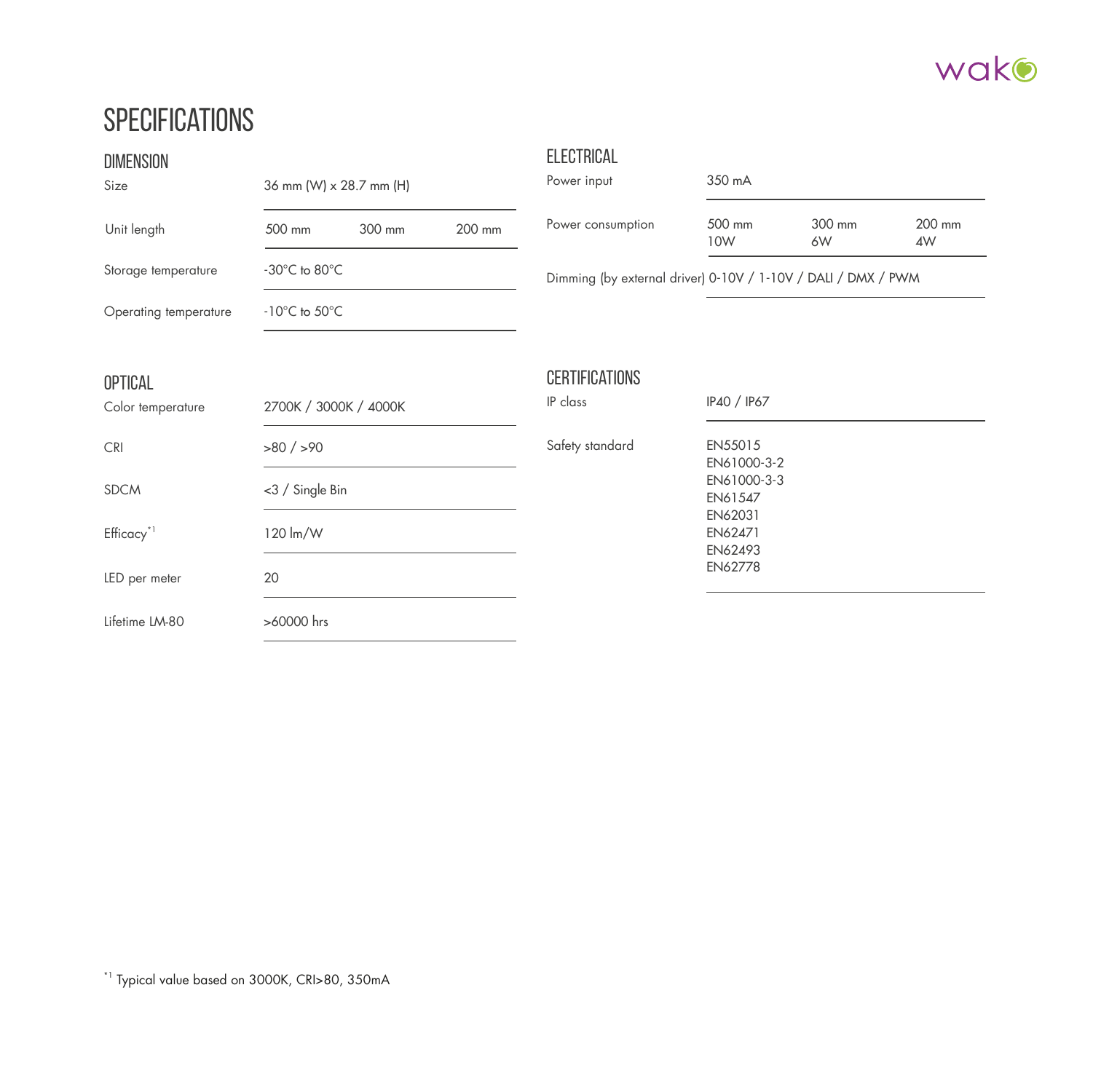#### wako

### **SPECIFICATIONS**

| <b>DIMENSION</b><br>Size            | 36 mm (W) x 28.7 mm (H)                            |        |        | <b>ELECTRICAL</b><br>Power input  | 350 mA                                                        |                    |              |  |  |
|-------------------------------------|----------------------------------------------------|--------|--------|-----------------------------------|---------------------------------------------------------------|--------------------|--------------|--|--|
| Unit length                         | 500 mm                                             | 300 mm | 200 mm | Power consumption                 | 500 mm<br>10W                                                 | 300 mm<br>6W       | 200 mm<br>4W |  |  |
| Storage temperature                 | $-30^{\circ}$ C to 80 $^{\circ}$ C                 |        |        |                                   | Dimming (by external driver) 0-10V / 1-10V / DALI / DMX / PWM |                    |              |  |  |
| Operating temperature               | $-10^{\circ}$ C to $50^{\circ}$ C                  |        |        |                                   |                                                               |                    |              |  |  |
| <b>OPTICAL</b><br>Color temperature | 2700K / 3000K / 4000K                              |        |        | <b>CERTIFICATIONS</b><br>IP class | IP40 / IP67                                                   |                    |              |  |  |
| <b>CRI</b>                          | $>80$ / $>90$<br><3 / Single Bin<br>120 lm/W<br>20 |        |        | Safety standard                   | EN55015<br>EN61000-3-2<br>EN61000-3-3<br>EN61547              |                    |              |  |  |
| <b>SDCM</b>                         |                                                    |        |        |                                   |                                                               |                    |              |  |  |
| Efficacy <sup>*1</sup>              |                                                    |        |        |                                   | EN62471                                                       | EN62031<br>EN62493 |              |  |  |
| LED per meter                       |                                                    |        |        |                                   | EN62778                                                       |                    |              |  |  |
| Lifetime LM-80                      | >60000 hrs                                         |        |        |                                   |                                                               |                    |              |  |  |

\*1 Typical value based on 3000K, CRI>80, 350mA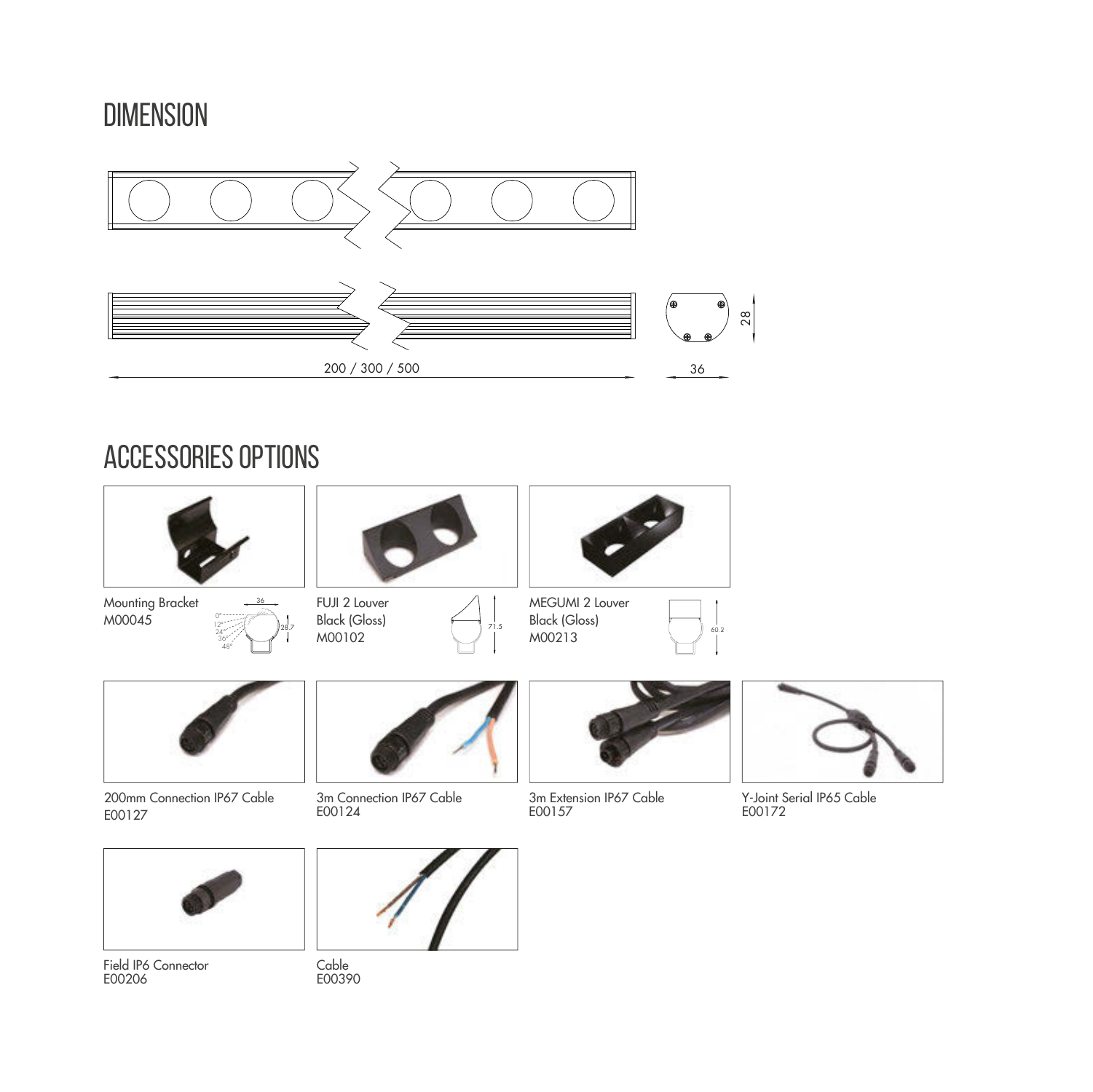### **DIMENSION**



#### accessories options





200mm Connection IP67 Cable E00127



3m Connection IP67 Cable E00124



3m Extension IP67 Cable E00157



Y-Joint Serial IP65 Cable E00172



Field IP6 Connector<br>F00206



Cable<br>E00390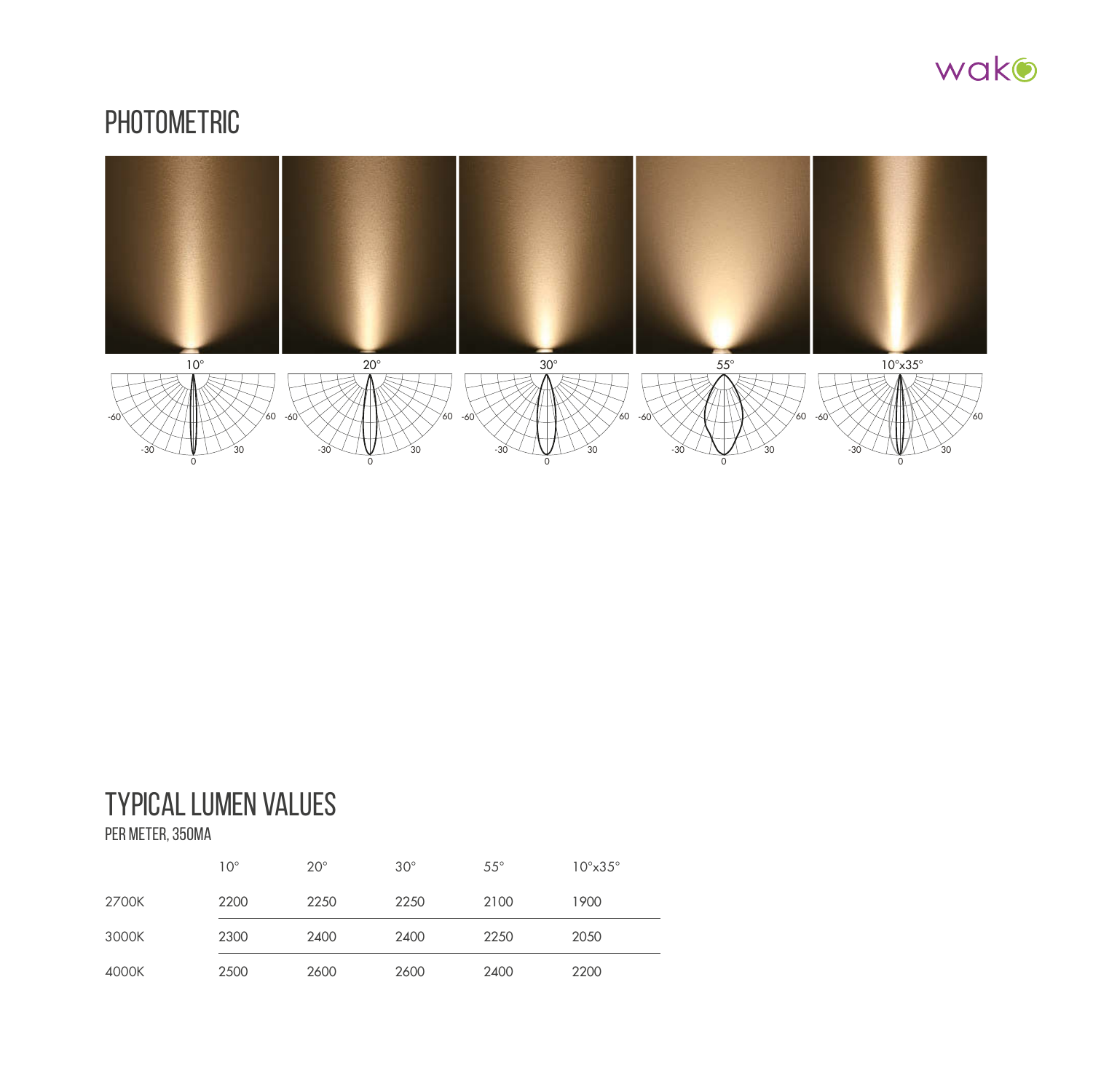

#### **PHOTOMETRIC**



## Typical lumen values

per meter, 350mA

|       | $10^{\circ}$ | $20^\circ$ | $30^\circ$ | $55^{\circ}$ | $10^{\circ} \times 35^{\circ}$ |
|-------|--------------|------------|------------|--------------|--------------------------------|
| 2700K | 2200         | 2250       | 2250       | 2100         | 1900                           |
| 3000K | 2300         | 2400       | 2400       | 2250         | 2050                           |
| 4000K | 2500         | 2600       | 2600       | 2400         | 2200                           |